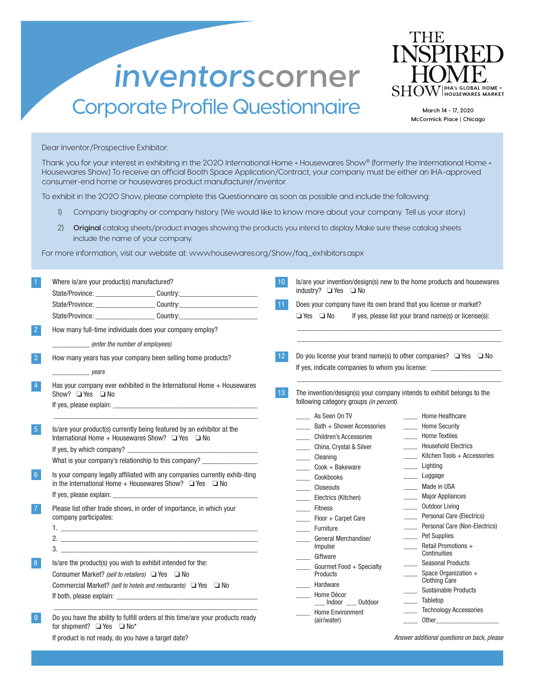## inventorscorner Corporate Profile Questionnaire



March 14 - 17, 2020 McCormick Place | Chicago

Dear Inventor/Prospective Exhibitor:

Thank you for your interest in exhibiting in the 2020 International Home + Housewares Show® (formerly the International Home + Housewares Show.) To receive an official Booth Space Application/Contract, your company must be either an IHA-approved consumer-end home or housewares product manufacturer/inventor.

To exhibit in the 2020 Show, please complete this Questionnaire as soon as possible and include the following:

- 1) Company biography or company history. (We would like to know more about your company. Tell us your story.)
- 2) **Original** catalog sheets/product images showing the products you intend to display. Make sure these catalog sheets include the name of your company.

For more information, visit our website at: www.housewares.org/Show/faq\_exhibitors.aspx

| Where is/are your product(s) manufactured?                                                                                                                                                                                                                                                                                         |  | 10                          |                                                                            | Is/are your invention/design(s) new to the home products and housewares          |  |
|------------------------------------------------------------------------------------------------------------------------------------------------------------------------------------------------------------------------------------------------------------------------------------------------------------------------------------|--|-----------------------------|----------------------------------------------------------------------------|----------------------------------------------------------------------------------|--|
| State/Province: __________________________Country: _____________________________                                                                                                                                                                                                                                                   |  |                             | industry? $\Box$ Yes $\Box$ No                                             |                                                                                  |  |
| State/Province: ________________________Country:________________________________                                                                                                                                                                                                                                                   |  | 11                          | Does your company have its own brand that you license or market?           |                                                                                  |  |
| State/Province: ___________________________Country:_____________________________                                                                                                                                                                                                                                                   |  |                             | $\Box$ Yes $\Box$ No                                                       | If yes, please list your brand name(s) or license(s):                            |  |
| How many full-time individuals does your company employ?                                                                                                                                                                                                                                                                           |  |                             |                                                                            |                                                                                  |  |
| (enter the number of employees)                                                                                                                                                                                                                                                                                                    |  |                             |                                                                            |                                                                                  |  |
| How many years has your company been selling home products?                                                                                                                                                                                                                                                                        |  | 12.                         | Do you license your brand name(s) to other companies? $\Box$ Yes $\Box$ No |                                                                                  |  |
| <i>vears</i>                                                                                                                                                                                                                                                                                                                       |  |                             |                                                                            | If yes, indicate companies to whom you license: ________________________________ |  |
| Has your company ever exhibited in the International Home + Housewares<br>Show? $\Box$ Yes $\Box$ No                                                                                                                                                                                                                               |  | 13 <sup>°</sup>             | following category groups (in percent).                                    | The invention/design(s) your company intends to exhibit belongs to the           |  |
| If yes, please explain: The same state of the state of the state of the state of the state of the state of the                                                                                                                                                                                                                     |  |                             | As Seen On TV<br>Bath + Shower Accessories                                 | Home Healthcare<br>- Home Security                                               |  |
| Is/are your product(s) currently being featured by an exhibitor at the<br>International Home + Housewares Show? $\Box$ Yes $\Box$ No<br>If yes, by which company?                                                                                                                                                                  |  |                             | <b>Children's Accessories</b>                                              | _____ Home Textiles                                                              |  |
|                                                                                                                                                                                                                                                                                                                                    |  |                             | China, Crystal & Silver                                                    | <b>Household Electrics</b>                                                       |  |
| What is your company's relationship to this company? _______________                                                                                                                                                                                                                                                               |  | $\mathcal{L}^{\mathcal{L}}$ | Cleaning                                                                   | Kitchen Tools + Accessories                                                      |  |
| Is your company legally affiliated with any companies currently exhib-iting<br>in the International Home + Housewares Show? $\Box$ Yes $\Box$ No<br>Please list other trade shows, in order of importance, in which your<br>company participates:<br>$1.$ The contract of the contract of the contract of the contract of $\alpha$ |  |                             | Cook + Bakeware                                                            | Lighting                                                                         |  |
|                                                                                                                                                                                                                                                                                                                                    |  |                             | Cookbooks                                                                  | _____ Luggage                                                                    |  |
|                                                                                                                                                                                                                                                                                                                                    |  |                             | Closeouts                                                                  | _____ Made in USA                                                                |  |
|                                                                                                                                                                                                                                                                                                                                    |  |                             | Electrics (Kitchen)                                                        | Major Appliances<br>Outdoor Living                                               |  |
|                                                                                                                                                                                                                                                                                                                                    |  |                             | <b>Fitness</b>                                                             | Personal Care (Electrics)                                                        |  |
|                                                                                                                                                                                                                                                                                                                                    |  | $\mathcal{L}^{\text{max}}$  | Floor + Carpet Care<br>Furniture                                           | Personal Care (Non-Electrics)                                                    |  |
|                                                                                                                                                                                                                                                                                                                                    |  |                             | General Merchandise/                                                       | _____ Pet Supplies                                                               |  |
|                                                                                                                                                                                                                                                                                                                                    |  |                             | Impulse                                                                    | Retail Promotions +<br>$\frac{1}{1}$                                             |  |
| Is/are the product(s) you wish to exhibit intended for the:                                                                                                                                                                                                                                                                        |  |                             | Giftware                                                                   | Continuities<br><b>Seasonal Products</b>                                         |  |
| Consumer Market? (sell to retailers) □ Yes □ No                                                                                                                                                                                                                                                                                    |  |                             | Gourmet Food + Specialty<br>Products                                       | _____ Space Organization +                                                       |  |
| Commercial Market? (sell to hotels and restaurants) $\Box$ Yes $\Box$ No                                                                                                                                                                                                                                                           |  |                             | Hardware                                                                   | Clothing Care                                                                    |  |
|                                                                                                                                                                                                                                                                                                                                    |  |                             | Home Décor                                                                 | Sustainable Products<br>$\mathcal{L}^{\text{max}}$                               |  |
|                                                                                                                                                                                                                                                                                                                                    |  |                             | __ Indoor __ Outdoor                                                       | ____ Tabletop<br>_____ Technology Accessories                                    |  |
| Do you have the ability to fulfill orders at this time/are your products ready<br>for shipment? ■ Yes ■ No*                                                                                                                                                                                                                        |  |                             | <b>Home Environment</b><br>(air/water)                                     |                                                                                  |  |

If product is not ready, do you have a target date?

Answer additional questions on back, please